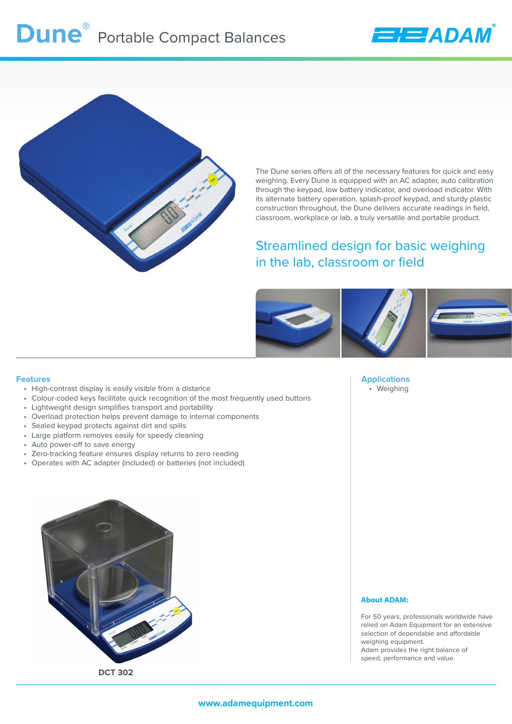



The Dune series offers all of the necessary features for quick and easy weighing. Every Dune is equipped with an AC adapter, auto calibration through the keypad, low battery indicator, and overload indicator. With its alternate battery operation, splash-proof keypad, and sturdy plastic construction throughout, the Dune delivers accurate readings in field, classroom, workplace or lab, a truly versatile and portable product.

## Streamlined design for basic weighing in the lab, classroom or field



#### **Features**

- High-contrast display is easily visible from a distance
- Colour-coded keys facilitate quick recognition of the most frequently used buttons
- Lightweight design simplifies transport and portability
- Overload protection helps prevent damage to internal components
- Sealed keypad protects against dirt and spills
- Large platform removes easily for speedy cleaning
- Auto power-off to save energy
- Zero-tracking feature ensures display returns to zero reading
- Operates with AC adapter (included) or batteries (not included)

**Applications** • Weighing



### **About ADAM:**

For 50 years, professionals worldwide have relied on Adam Equipment for an extensive selection of dependable and affordable weighing equipment. Adam provides the right balance of speed, performance and value.